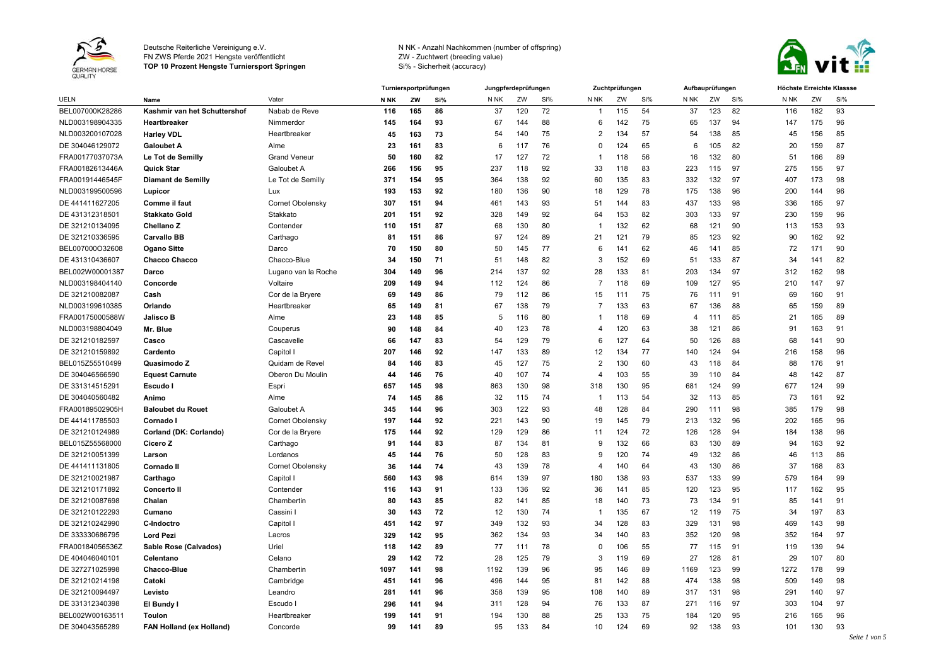

**TOP 10 Prozent Hengste Turniersport Springen**



|                 |                              |                     |                 | Turniersportprüfungen<br>Jungpferdeprüfungen |     |                 |     |     | Zuchtprüfungen |     | Aufbauprüfungen |      |              | Höchste Erreichte Klassse |      |     |               |
|-----------------|------------------------------|---------------------|-----------------|----------------------------------------------|-----|-----------------|-----|-----|----------------|-----|-----------------|------|--------------|---------------------------|------|-----|---------------|
| <b>UELN</b>     | Name                         | Vater               | N <sub>NK</sub> | ZW                                           | Si% | N <sub>NK</sub> | ZW  | Si% | N NK           | ZW  | Si%             | N NK | ZW           | Si%                       | N NK | ZW  | Si%           |
| BEL007000K28286 | Kashmir van het Schuttershof | Nabab de Reve       | 116             | 165                                          | 86  | 37              | 120 | 72  | -1             | 115 | 54              | 37   | 123          | 82                        | 116  | 182 | 93            |
| NLD003198904335 | Heartbreaker                 | Nimmerdor           | 145             | 164                                          | 93  | 67              | 144 | 88  | 6              | 142 | 75              | 65   | 137          | 94                        | 147  | 175 | 96            |
| NLD003200107028 | <b>Harley VDL</b>            | Heartbreaker        | 45              | 163                                          | 73  | 54              | 140 | 75  | $\overline{2}$ | 134 | 57              | 54   | 138          | 85                        | 45   | 156 | 85            |
| DE 304046129072 | <b>Galoubet A</b>            | Alme                | 23              | 161                                          | 83  | 6               | 117 | 76  | $\Omega$       | 124 | 65              | 6    | 105          | 82                        | 20   | 159 | 87            |
| FRA00177037073A | Le Tot de Semilly            | <b>Grand Veneur</b> | 50              | 160                                          | 82  | 17              | 127 | 72  | -1             | 118 | 56              | 16   | 132          | 80                        | 51   | 166 | 89            |
| FRA00182613446A | <b>Quick Star</b>            | Galoubet A          | 266             | 156                                          | 95  | 237             | 118 | 92  | 33             | 118 | 83              | 223  | 115          | 97                        | 275  | 155 | 97            |
| FRA00191446545F | <b>Diamant de Semilly</b>    | Le Tot de Semilly   | 371             | 154                                          | 95  | 364             | 138 | 92  | 60             | 135 | 83              | 332  | 132          | 97                        | 407  | 173 | 98            |
| NLD003199500596 | Lupicor                      | Lux                 | 193             | 153                                          | 92  | 180             | 136 | 90  | 18             | 129 | 78              | 175  | 138          | 96                        | 200  | 144 | 96            |
| DE 441411627205 | Comme il faut                | Cornet Obolensky    | 307             | 151                                          | 94  | 461             | 143 | 93  | 51             | 144 | 83              | 437  | 133          | 98                        | 336  | 165 | 97            |
| DE 431312318501 | <b>Stakkato Gold</b>         | Stakkato            | 201             | 151                                          | 92  | 328             | 149 | 92  | 64             | 153 | 82              | 303  | 133          | 97                        | 230  | 159 | 96            |
| DE 321210134095 | Chellano Z                   | Contender           | 110             | 151                                          | 87  | 68              | 130 | 80  |                | 132 | 62              | 68   | 121          | 90                        | 113  | 153 | 93            |
| DE 321210336595 | <b>Carvallo BB</b>           | Carthago            | 81              | 151                                          | 86  | 97              | 124 | 89  | 21             | 121 | 79              | 85   | 123          | 92                        | 90   | 162 | 92            |
| BEL007000O32608 | <b>Ogano Sitte</b>           | Darco               | 70              | 150                                          | 80  | 50              | 145 | 77  | 6              | 141 | 62              | 46   | 141          | 85                        | 72   | 171 | 90            |
| DE 431310436607 | <b>Chacco Chacco</b>         | Chacco-Blue         | 34              | 150                                          | 71  | 51              | 148 | 82  | 3              | 152 | 69              | 51   | 133          | 87                        | 34   | 141 | 82            |
| BEL002W00001387 | Darco                        | Lugano van la Roche | 304             | 149                                          | 96  | 214             | 137 | 92  | 28             | 133 | 81              | 203  | 134          | 97                        | 312  | 162 | 98            |
| NLD003198404140 | Concorde                     | Voltaire            | 209             | 149                                          | 94  | 112             | 124 | 86  | -7             | 118 | 69              | 109  | 127          | 95                        | 210  | 147 | 97            |
| DE 321210082087 | Cash                         | Cor de la Bryere    | 69              | 149                                          | 86  | 79              | 112 | 86  | 15             | 111 | 75              | 76   | 111          | 91                        | 69   | 160 | 91            |
| NLD003199610385 | Orlando                      | Heartbreaker        | 65              | 149                                          | 81  | 67              | 138 | 79  | -7             | 133 | 63              | 67   | 136          | 88                        | 65   | 159 | 89            |
| FRA00175000588W | <b>Jalisco B</b>             | Alme                | 23              | 148                                          | 85  | -5              | 116 | 80  |                | 118 | 69              | 4    | $11^{\circ}$ | 85                        | 21   | 165 | 89            |
| NLD003198804049 | Mr. Blue                     | Couperus            | 90              | 148                                          | 84  | 40              | 123 | 78  | 4              | 120 | 63              | 38   | 121          | 86                        | 91   | 163 | 91            |
| DE 321210182597 | Casco                        | Cascavelle          | 66              | 147                                          | 83  | 54              | 129 | 79  | 6              | 127 | 64              | 50   | 126          | 88                        | 68   | 141 | 90            |
| DE 321210159892 | Cardento                     | Capitol I           | 207             | 146                                          | 92  | 147             | 133 | 89  | 12             | 134 | 77              | 140  | 124          | 94                        | 216  | 158 | 96            |
| BEL015Z55510499 | Quasimodo Z                  | Quidam de Revel     | 84              | 146                                          | 83  | 45              | 127 | 75  | 2              | 130 | 60              | 43   | 118          | 84                        | 88   | 176 | 91            |
| DE 304046566590 | <b>Equest Carnute</b>        | Oberon Du Moulin    | 44              | 146                                          | 76  | 40              | 107 | 74  | 4              | 103 | 55              | 39   | 110          | 84                        | 48   | 142 | 87            |
| DE 331314515291 | Escudo                       | Espri               | 657             | 145                                          | 98  | 863             | 130 | 98  | 318            | 130 | 95              | 681  | 124          | 99                        | 677  | 124 | 99            |
| DE 304040560482 | Animo                        | Alme                | 74              | 145                                          | 86  | 32              | 115 | 74  |                | 113 | 54              | 32   | 113          | 85                        | 73   | 161 | 92            |
| FRA00189502905H | <b>Baloubet du Rouet</b>     | Galoubet A          | 345             | 144                                          | 96  | 303             | 122 | 93  | 48             | 128 | 84              | 290  | 111          | 98                        | 385  | 179 | 98            |
| DE 441411785503 | Cornado I                    | Cornet Obolensky    | 197             | 144                                          | 92  | 221             | 143 | 90  | 19             | 145 | 79              | 213  | 132          | 96                        | 202  | 165 | 96            |
| DE 321210124989 | Corland (DK: Corlando)       | Cor de la Bryere    | 175             | 144                                          | 92  | 129             | 129 | 86  | 11             | 124 | 72              | 126  | 128          | 94                        | 184  | 138 | 96            |
| BEL015Z55568000 | Cicero Z                     | Carthago            | 91              | 144                                          | 83  | 87              | 134 | 81  | 9              | 132 | 66              | 83   | 130          | 89                        | 94   | 163 | 92            |
| DE 321210051399 | Larson                       | Lordanos            | 45              | 144                                          | 76  | 50              | 128 | 83  | 9              | 120 | 74              | 49   | 132          | 86                        | 46   | 113 | 86            |
| DE 441411131805 | Cornado II                   | Cornet Obolensky    | 36              | 144                                          | 74  | 43              | 139 | 78  | $\overline{4}$ | 140 | 64              | 43   | 130          | 86                        | 37   | 168 | 83            |
| DE 321210021987 | Carthago                     | Capitol I           | 560             | 143                                          | 98  | 614             | 139 | 97  | 180            | 138 | 93              | 537  | 133          | 99                        | 579  | 164 | 99            |
| DE 321210171892 | <b>Concerto II</b>           | Contender           | 116             | 143                                          | 91  | 133             | 136 | 92  | 36             | 141 | 85              | 120  | 123          | 95                        | 117  | 162 | 95            |
| DE 321210087698 | Chalan                       | Chambertin          | 80              | 143                                          | 85  | 82              | 141 | 85  | 18             | 140 | 73              | 73   | 134          | 91                        | 85   | 141 | 91            |
| DE 321210122293 | Cumano                       | Cassini             | 30              | 143                                          | 72  | 12              | 130 | 74  | -1             | 135 | 67              | 12   | 119          | 75                        | 34   | 197 | 83            |
| DE 321210242990 | <b>C-Indoctro</b>            | Capitol             | 451             | 142                                          | 97  | 349             | 132 | 93  | 34             | 128 | 83              | 329  | 131          | 98                        | 469  | 143 | 98            |
| DE 333330686795 | <b>Lord Pezi</b>             | Lacros              | 329             | 142                                          | 95  | 362             | 134 | 93  | 34             | 140 | 83              | 352  | 120          | 98                        | 352  | 164 | 97            |
| FRA00184056536Z | Sable Rose (Calvados)        | Uriel               | 118             | 142                                          | 89  | 77              | 111 | 78  | $\Omega$       | 106 | 55              | 77   | 115          | 91                        | 119  | 139 | 94            |
| DE 404046040101 | Celentano                    | Celano              | 29              | 142                                          | 72  | 28              | 125 | 79  | 3              | 119 | 69              | 27   | 128          | 81                        | 29   | 107 | 80            |
| DE 327271025998 | Chacco-Blue                  | Chambertin          | 1097            | 141                                          | 98  | 1192            | 139 | 96  | 95             | 146 | 89              | 1169 | 123          | 99                        | 1272 | 178 | 99            |
| DE 321210214198 | Catoki                       | Cambridge           | 451             | 141                                          | 96  | 496             | 144 | 95  | 81             | 142 | 88              | 474  | 138          | 98                        | 509  | 149 | 98            |
| DE 321210094497 | Levisto                      | Leandro             | 281             | 141                                          | 96  | 358             | 139 | 95  | 108            | 140 | 89              | 317  | 131          | 98                        | 291  | 140 | 97            |
| DE 331312340398 | El Bundy                     | Escudo              | 296             | 141                                          | 94  | 311             | 128 | 94  | 76             | 133 | 87              | 271  | 116          | 97                        | 303  | 104 | 97            |
| BEL002W00163511 | <b>Toulon</b>                | Heartbreaker        | 199             | 141                                          | 91  | 194             | 130 | 88  | 25             | 133 | 75              | 184  | 120          | 95                        | 216  | 165 | 96            |
| DE 304043565289 | FAN Holland (ex Holland)     | Concorde            | 99              | 141                                          | 89  | 95              | 133 | 84  | 10             | 124 | 69              | 92   | 138          | 93                        | 101  | 130 | 93            |
|                 |                              |                     |                 |                                              |     |                 |     |     |                |     |                 |      |              |                           |      |     | Seite 1 von 5 |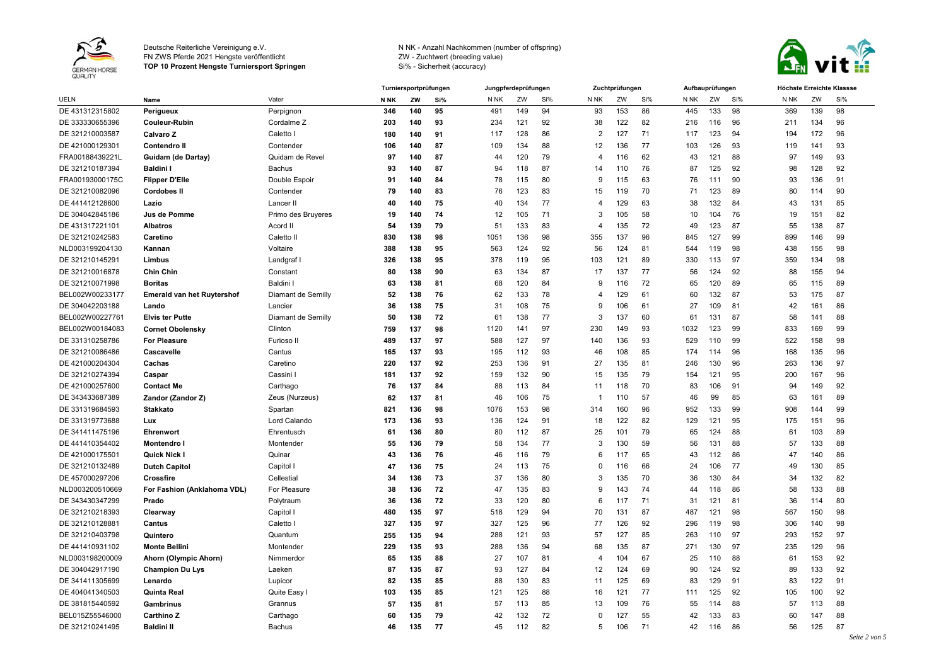

**TOP 10 Prozent Hengste Turniersport Springen**



|                 |                                   |                    |             | Turniersportprüfungen |     | Jungpferdeprüfungen |     |     |                         | Zuchtprüfungen |     |              | Aufbauprüfungen |     |      | Höchste Erreichte Klassse |                                 |  |  |
|-----------------|-----------------------------------|--------------------|-------------|-----------------------|-----|---------------------|-----|-----|-------------------------|----------------|-----|--------------|-----------------|-----|------|---------------------------|---------------------------------|--|--|
| <b>UELN</b>     | Name                              | Vater              | <b>N NK</b> | ZW                    | Si% | N NK                | ZW  | Si% | N <sub>NK</sub>         | ZW             | Si% | N NK         | ZW              | Si% | N NK | ZW                        | Si%                             |  |  |
| DE 431312315802 | Perigueux                         | Perpignon          | 346         | 140                   | 95  | 491                 | 149 | 94  | 93                      | 153            | 86  | 445          | 133             | 98  | 369  | 139                       | 98                              |  |  |
| DE 333330655396 | <b>Couleur-Rubin</b>              | Cordalme Z         | 203         | 140                   | 93  | 234                 | 121 | 92  | 38                      | 122            | 82  | 216          | 116             | 96  | 211  | 134                       | 96                              |  |  |
| DE 321210003587 | Calvaro Z                         | Caletto I          | 180         | 140                   | 91  | 117                 | 128 | 86  | $\overline{2}$          | 127            | 71  | 117          | 123             | 94  | 194  | 172                       | 96                              |  |  |
| DE 421000129301 | <b>Contendro II</b>               | Contender          | 106         | 140                   | 87  | 109                 | 134 | 88  | 12                      | 136            | 77  | 103          | 126             | 93  | 119  | 141                       | 93                              |  |  |
| FRA00188439221L | Guidam (de Dartay)                | Quidam de Revel    | 97          | 140                   | 87  | 44                  | 120 | 79  | $\overline{\mathbf{A}}$ | 116            | 62  | 43           | 121             | 88  | 97   | 149                       | 93                              |  |  |
| DE 321210187394 | <b>Baldini I</b>                  | <b>Bachus</b>      | 93          | 140                   | 87  | 94                  | 118 | 87  | 14                      | 110            | 76  | 87           | 125             | 92  | 98   | 128                       | 92                              |  |  |
| FRA00193000175C | <b>Flipper D'Elle</b>             | Double Espoir      | 91          | 140                   | 84  | 78                  | 115 | 80  | 9                       | 115            | 63  | 76           | 111             | 90  | 93   | 136                       | 91                              |  |  |
| DE 321210082096 | <b>Cordobes II</b>                | Contender          | 79          | 140                   | 83  | 76                  | 123 | 83  | 15                      | 119            | 70  | 71           | 123             | 89  | 80   | 114                       | 90                              |  |  |
| DE 441412128600 | Lazio                             | Lancer II          | 40          | 140                   | 75  | 40                  | 134 | 77  | $\overline{4}$          | 129            | 63  | 38           | 132             | 84  | 43   | 131                       | 85                              |  |  |
| DE 304042845186 | Jus de Pomme                      | Primo des Bruyeres | 19          | 140                   | 74  | 12                  | 105 | 71  | 3                       | 105            | 58  | 10           | 104             | 76  | 19   | 151                       | 82                              |  |  |
| DE 431317221101 | <b>Albatros</b>                   | Acord II           | 54          | 139                   | 79  | 51                  | 133 | 83  | $\overline{4}$          | 135            | 72  | 49           | 123             | 87  | 55   | 138                       | 87                              |  |  |
| DE 321210242583 | Caretino                          | Caletto II         | 830         | 138                   | 98  | 1051                | 136 | 98  | 355                     | 137            | 96  | 845          | 127             | 99  | 899  | 146                       | 99                              |  |  |
| NLD003199204130 | Kannan                            | Voltaire           | 388         | 138                   | 95  | 563                 | 124 | 92  | 56                      | 124            | 81  | 544          | 119             | 98  | 438  | 155                       | 98                              |  |  |
| DE 321210145291 | Limbus                            | Landgraf           | 326         | 138                   | 95  | 378                 | 119 | 95  | 103                     | 121            | 89  | 330          | 113             | 97  | 359  | 134                       | 98                              |  |  |
| DE 321210016878 | <b>Chin Chin</b>                  | Constant           | 80          | 138                   | 90  | 63                  | 134 | 87  | 17                      | 137            | 77  | 56           | 124             | 92  | 88   | 155                       | 94                              |  |  |
| DE 321210071998 | <b>Boritas</b>                    | Baldini I          | 63          | 138                   | 81  | 68                  | 120 | 84  | 9                       | 116            | 72  | 65           | 120             | 89  | 65   | 115                       | 89                              |  |  |
| BEL002W00233177 | <b>Emerald van het Ruytershof</b> | Diamant de Semilly | 52          | 138                   | 76  | 62                  | 133 | 78  | $\overline{4}$          | 129            | 61  | 60           | 132             | 87  | 53   | 175                       | 87                              |  |  |
| DE 304042203188 | Lando                             | Lancier            | 36          | 138                   | 75  | 31                  | 108 | 75  | 9                       | 106            | 61  | 27           | 109             | 81  | 42   | 161                       | 86                              |  |  |
| BEL002W00227761 | <b>Elvis ter Putte</b>            | Diamant de Semilly | 50          | 138                   | 72  | 61                  | 138 | 77  | 3                       | 137            | 60  | 61           | 131             | 87  | 58   | 141                       | 88                              |  |  |
| BEL002W00184083 | <b>Cornet Obolensky</b>           | Clinton            | 759         | 137                   | 98  | 1120                | 141 | 97  | 230                     | 149            | 93  | 1032         | 123             | 99  | 833  | 169                       | 99                              |  |  |
| DE 331310258786 | <b>For Pleasure</b>               | Furioso I          | 489         | 137                   | 97  | 588                 | 127 | 97  | 140                     | 136            | 93  | 529          | 110             | 99  | 522  | 158                       | 98                              |  |  |
| DE 321210086486 | Cascavelle                        | Cantus             | 165         | 137                   | 93  | 195                 | 112 | 93  | 46                      | 108            | 85  | 174          | 114             | 96  | 168  | 135                       | 96                              |  |  |
| DE 421000204304 | Cachas                            | Caretino           | 220         | 137                   | 92  | 253                 | 136 | 91  | 27                      | 135            | 81  | 246          | 130             | 96  | 263  | 136                       | 97                              |  |  |
| DE 321210274394 | Caspar                            | Cassini I          | 181         | 137                   | 92  | 159                 | 132 | 90  | 15                      | 135            | 79  | 154          | 121             | 95  | 200  | 167                       | 96                              |  |  |
| DE 421000257600 | <b>Contact Me</b>                 | Carthago           | 76          | 137                   | 84  | 88                  | 113 | 84  | 11                      | 118            | 70  | 83           | 106             | 91  | 94   | 149                       | 92                              |  |  |
| DE 343433687389 | Zandor (Zandor Z)                 | Zeus (Nurzeus)     | 62          | 137                   | 81  | 46                  | 106 | 75  | -1                      | 110            | 57  | 46           | 99              | 85  | 63   | 161                       | 89                              |  |  |
| DE 331319684593 | <b>Stakkato</b>                   | Spartan            | 821         | 136                   | 98  | 1076                | 153 | 98  | 314                     | 160            | 96  | 952          | 133             | 99  | 908  | 144                       | 99                              |  |  |
| DE 331319773688 | Lux                               | Lord Calando       | 173         | 136                   | 93  | 136                 | 124 | 91  | 18                      | 122            | 82  | 129          | 121             | 95  | 175  | 151                       | 96                              |  |  |
| DE 341411475196 | Ehrenwort                         | Ehrentusch         | 61          | 136                   | 80  | 80                  | 112 | 87  | 25                      | 101            | 79  | 65           | 124             | 88  | 61   | 103                       | 89                              |  |  |
| DE 441410354402 | Montendro                         | Montender          | 55          | 136                   | 79  | 58                  | 134 | 77  | 3                       | 130            | 59  | 56           | 131             | 88  | 57   | 133                       | 88                              |  |  |
| DE 421000175501 | Quick Nick I                      | Quinar             | 43          | 136                   | 76  | 46                  | 116 | 79  | 6                       | 117            | 65  | 43           | 112             | 86  | 47   | 140                       | 86                              |  |  |
| DE 321210132489 | <b>Dutch Capitol</b>              | Capitol I          | 47          | 136                   | 75  | 24                  | 113 | 75  | $\Omega$                | 116            | 66  | 24           | 106             | 77  | 49   | 130                       | 85                              |  |  |
| DE 457000297206 | Crossfire                         | Cellestial         | 34          | 136                   | 73  | 37                  | 136 | 80  | 3                       | 135            | 70  | 36           | 130             | 84  | 34   | 132                       | 82                              |  |  |
| NLD003200510669 | For Fashion (Anklahoma VDL)       | For Pleasure       | 38          | 136                   | 72  | 47                  | 135 | 83  | 9                       | 143            | 74  | 44           | 118             | 86  | 58   | 133                       | 88                              |  |  |
| DE 343430347299 | Prado                             | Polytraum          | 36          | 136                   | 72  | 33                  | 120 | 80  | 6                       | 117            | 71  | 31           | 121             | 81  | 36   | 114                       | 80                              |  |  |
| DE 321210218393 | Clearway                          | Capitol I          | 480         | 135                   | 97  | 518                 | 129 | 94  | 70                      | 131            | 87  | 487          | 121             | 98  | 567  | 150                       | 98                              |  |  |
| DE 321210128881 | Cantus                            | Caletto I          | 327         | 135                   | 97  | 327                 | 125 | 96  | 77                      | 126            | 92  | 296          | 119             | 98  | 306  | 140                       | 98                              |  |  |
| DE 321210403798 | Quintero                          | Quantum            | 255         | 135                   | 94  | 288                 | 121 | 93  | 57                      | 127            | 85  | 263          | 110             | 97  | 293  | 152                       | 97                              |  |  |
| DE 441410931102 | <b>Monte Bellini</b>              | Montender          | 229         | 135                   | 93  | 288                 | 136 | 94  | 68                      | 135            | 87  | $27^{\circ}$ | 130             | 97  | 235  | 129                       | 96                              |  |  |
| NLD003198200009 | Ahorn (Olympic Ahorn)             | Nimmerdor          | 65          | 135                   | 88  | 27                  | 107 | 81  | 4                       | 104            | 67  | 25           | 110             | 88  | 61   | 153                       | 92                              |  |  |
| DE 304042917190 | <b>Champion Du Lys</b>            | Laeken             | 87          | 135                   | 87  | 93                  | 127 | 84  | 12                      | 124            | 69  | 90           | 124             | 92  | 89   | 133                       | 92                              |  |  |
| DE 341411305699 | Lenardo                           | Lupicor            | 82          | 135                   | 85  | 88                  | 130 | 83  | 11                      | 125            | 69  | 83           | 129             | 91  | 83   | 122                       | 91                              |  |  |
| DE 404041340503 | Quinta Real                       | Quite Easy I       | 103         | 135                   | 85  | 121                 | 125 | 88  | 16                      | 121            | 77  | 111          | 125             | 92  | 105  | 100                       | 92                              |  |  |
| DE 381815440592 | Gambrinus                         | Grannus            | 57          | 135                   | 81  | 57                  | 113 | 85  | 13                      | 109            | 76  | 55           | 114             | 88  | 57   | 113                       | 88                              |  |  |
| BEL015Z55546000 | Carthino Z                        | Carthago           | 60          | 135                   | 79  | 42                  | 132 | 72  | $\Omega$                | 127            | 55  | 42           | 133             | 83  | 60   | 147                       | 88                              |  |  |
| DE 321210241495 | <b>Baldini II</b>                 | Bachus             | 46          | 135                   | 77  | 45                  | 112 | 82  | 5                       | 106            | 71  | 42           | 116             | 86  | 56   | 125                       | 87<br>$\alpha$ $\beta$ $\alpha$ |  |  |
|                 |                                   |                    |             |                       |     |                     |     |     |                         |                |     |              |                 |     |      |                           |                                 |  |  |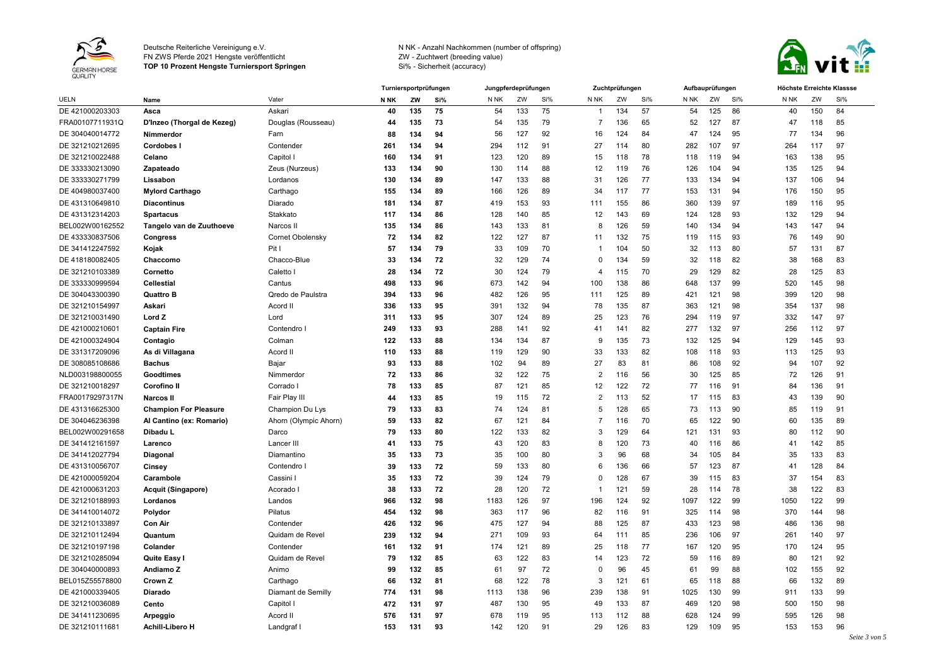

**TOP 10 Prozent Hengste Turniersport Springen**



|                 |                              |                       |             | Turniersportprüfungen<br>Jungpferdeprüfungen<br>Zuchtprüfungen<br>Aufbauprüfungen |     |                 |     |     | Höchste Erreichte Klassse |     |     |                 |     |     |                 |     |     |
|-----------------|------------------------------|-----------------------|-------------|-----------------------------------------------------------------------------------|-----|-----------------|-----|-----|---------------------------|-----|-----|-----------------|-----|-----|-----------------|-----|-----|
| <b>UELN</b>     | Name                         | Vater                 | <b>N NK</b> | ZW                                                                                | Si% | N <sub>NK</sub> | ZW  | Si% | N <sub>NK</sub>           | ZW  | Si% | N <sub>NK</sub> | ZW  | Si% | N <sub>NK</sub> | ZW  | Si% |
| DE 421000203303 | Asca                         | Askari                | 40          | 135                                                                               | 75  | 54              | 133 | 75  | -1                        | 134 | 57  | 54              | 125 | 86  | 40              | 150 | 84  |
| FRA00107711931Q | D'Inzeo (Thorgal de Kezeg)   | Douglas (Rousseau)    | 44          | 135                                                                               | 73  | 54              | 135 | 79  | 7                         | 136 | 65  | 52              | 127 | 87  | 47              | 118 | 85  |
| DE 304040014772 | Nimmerdor                    | Farn                  | 88          | 134                                                                               | 94  | 56              | 127 | 92  | 16                        | 124 | 84  | 47              | 124 | 95  | 77              | 134 | 96  |
| DE 321210212695 | Cordobes                     | Contender             | 261         | 134                                                                               | 94  | 294             | 112 | 91  | 27                        | 114 | 80  | 282             | 107 | 97  | 264             | 117 | 97  |
| DE 321210022488 | Celano                       | Capitol I             | 160         | 134                                                                               | 91  | 123             | 120 | 89  | 15                        | 118 | 78  | 118             | 119 | 94  | 163             | 138 | 95  |
| DE 333330213090 | Zapateado                    | Zeus (Nurzeus)        | 133         | 134                                                                               | 90  | 130             | 114 | 88  | 12                        | 119 | 76  | 126             | 104 | 94  | 135             | 125 | 94  |
| DE 333330271799 | Lissabon                     | Lordanos              | 130         | 134                                                                               | 89  | 147             | 133 | 88  | 31                        | 126 | 77  | 133             | 134 | 94  | 137             | 106 | 94  |
| DE 404980037400 | <b>Mylord Carthago</b>       | Carthago              | 155         | 134                                                                               | 89  | 166             | 126 | 89  | 34                        | 117 | 77  | 153             | 131 | 94  | 176             | 150 | 95  |
| DE 431310649810 | <b>Diacontinus</b>           | Diarado               | 181         | 134                                                                               | 87  | 419             | 153 | 93  | 111                       | 155 | 86  | 360             | 139 | 97  | 189             | 116 | 95  |
| DE 431312314203 | <b>Spartacus</b>             | Stakkato              | 117         | 134                                                                               | 86  | 128             | 140 | 85  | 12                        | 143 | 69  | 124             | 128 | 93  | 132             | 129 | 94  |
| BEL002W00162552 | Tangelo van de Zuuthoeve     | Narcos II             | 135         | 134                                                                               | 86  | 143             | 133 | 81  | 8                         | 126 | 59  | 140             | 134 | 94  | 143             | 147 | 94  |
| DE 433330837506 | <b>Congress</b>              | Cornet Obolensky      | 72          | 134                                                                               | 82  | 122             | 127 | 87  | 11                        | 132 | 75  | 119             | 115 | 93  | 76              | 149 | 90  |
| DE 341412247592 | Kojak                        | Pit I                 | 57          | 134                                                                               | 79  | 33              | 109 | 70  |                           | 104 | 50  | 32              | 113 | 80  | 57              | 131 | 87  |
| DE 418180082405 | Chaccomo                     | Chacco-Blue           | 33          | 134                                                                               | 72  | 32              | 129 | 74  | $\Omega$                  | 134 | 59  | 32              | 118 | 82  | 38              | 168 | 83  |
| DE 321210103389 | Cornetto                     | Caletto I             | 28          | 134                                                                               | 72  | 30              | 124 | 79  | 4                         | 115 | 70  | 29              | 129 | 82  | 28              | 125 | 83  |
| DE 333330999594 | <b>Cellestial</b>            | Cantus                | 498         | 133                                                                               | 96  | 673             | 142 | 94  | 100                       | 138 | 86  | 648             | 137 | 99  | 520             | 145 | 98  |
| DE 304043300390 | <b>Quattro B</b>             | Qredo de Paulstra     | 394         | 133                                                                               | 96  | 482             | 126 | 95  | 111                       | 125 | 89  | 421             | 121 | 98  | 399             | 120 | 98  |
| DE 321210154997 | Askari                       | Acord II              | 336         | 133                                                                               | 95  | 391             | 132 | 94  | 78                        | 135 | 87  | 363             | 121 | 98  | 354             | 137 | 98  |
| DE 321210031490 | Lord Z                       | Lord                  | 311         | 133                                                                               | 95  | 307             | 124 | 89  | 25                        | 123 | 76  | 294             | 119 | 97  | 332             | 147 | 97  |
| DE 421000210601 | <b>Captain Fire</b>          | Contendro I           | 249         | 133                                                                               | 93  | 288             | 141 | 92  | 41                        | 141 | 82  | 277             | 132 | 97  | 256             | 112 | 97  |
| DE 421000324904 | Contagio                     | Colman                | 122         | 133                                                                               | 88  | 134             | 134 | 87  | 9                         | 135 | 73  | 132             | 125 | 94  | 129             | 145 | 93  |
| DE 331317209096 | As di Villagana              | Acord II              | 110         | 133                                                                               | 88  | 119             | 129 | 90  | 33                        | 133 | 82  | 108             | 118 | 93  | 113             | 125 | 93  |
| DE 308085108686 | <b>Bachus</b>                | Bajar                 | 93          | 133                                                                               | 88  | 102             | 94  | 89  | 27                        | 83  | 81  | 86              | 108 | 92  | 94              | 107 | 92  |
| NLD003198800055 | Goodtimes                    | Nimmerdor             | 72          | 133                                                                               | 86  | 32              | 122 | 75  | $\overline{2}$            | 116 | 56  | 30              | 125 | 85  | 72              | 126 | 91  |
| DE 321210018297 | Corofino II                  | Corrado I             | 78          | 133                                                                               | 85  | 87              | 121 | 85  | 12                        | 122 | 72  | 77              | 116 | 91  | 84              | 136 | 91  |
| FRA00179297317N | <b>Narcos II</b>             | Fair Play III         | 44          | 133                                                                               | 85  | 19              | 115 | 72  | $\overline{2}$            | 113 | 52  | 17              | 115 | 83  | 43              | 139 | 90  |
| DE 431316625300 | <b>Champion For Pleasure</b> | Champion Du Lys       | 79          | 133                                                                               | 83  | 74              | 124 | 81  | 5                         | 128 | 65  | 73              | 113 | 90  | 85              | 119 | 91  |
| DE 304046236398 | Al Cantino (ex: Romario)     | Ahorn (Olympic Ahorn) | 59          | 133                                                                               | 82  | 67              | 121 | 84  | 7                         | 116 | 70  | 65              | 122 | 90  | 60              | 135 | 89  |
| BEL002W00291658 | Dibadu L                     | Darco                 | 79          | 133                                                                               | 80  | 122             | 133 | 82  | 3                         | 129 | 64  | 121             | 131 | 93  | 80              | 112 | 90  |
| DE 341412161597 | Larenco                      | Lancer III            | 41          | 133                                                                               | 75  | 43              | 120 | 83  | 8                         | 120 | 73  | 40              | 116 | 86  | 41              | 142 | 85  |
| DE 341412027794 | Diagonal                     | Diamantino            | 35          | 133                                                                               | 73  | 35              | 100 | 80  | 3                         | 96  | 68  | 34              | 105 | 84  | 35              | 133 | 83  |
| DE 431310056707 | Cinsey                       | Contendro I           | 39          | 133                                                                               | 72  | 59              | 133 | 80  | 6                         | 136 | 66  | 57              | 123 | 87  | 41              | 128 | 84  |
| DE 421000059204 | Carambole                    | Cassini I             | 35          | 133                                                                               | 72  | 39              | 124 | 79  | $\Omega$                  | 128 | 67  | 39              | 115 | 83  | 37              | 154 | 83  |
| DE 421000631203 | Acquit (Singapore)           | Acorado I             | 38          | 133                                                                               | 72  | 28              | 120 | 72  | -1                        | 121 | 59  | 28              | 114 | 78  | 38              | 122 | 83  |
| DE 321210188993 | Lordanos                     | Landos                | 966         | 132                                                                               | 98  | 1183            | 126 | 97  | 196                       | 124 | 92  | 1097            | 122 | 99  | 1050            | 122 | 99  |
| DE 341410014072 | Polydor                      | Pilatus               | 454         | 132                                                                               | 98  | 363             | 117 | 96  | 82                        | 116 | 91  | 325             | 114 | 98  | 370             | 144 | 98  |
| DE 321210133897 | <b>Con Air</b>               | Contender             | 426         | 132                                                                               | 96  | 475             | 127 | 94  | 88                        | 125 | 87  | 433             | 123 | 98  | 486             | 136 | 98  |
| DE 321210112494 | Quantum                      | Quidam de Revel       | 239         | 132                                                                               | 94  | 271             | 109 | 93  | 64                        | 111 | 85  | 236             | 106 | 97  | 261             | 140 | 97  |
| DE 321210197198 | Colander                     | Contender             | 161         | 132                                                                               | 91  | 174             | 121 | 89  | 25                        | 118 | 77  | 167             | 120 | 95  | 170             | 124 | 95  |
| DE 321210285094 | Quite Easy                   | Quidam de Revel       | 79          | 132                                                                               | 85  | 63              | 122 | 83  | 14                        | 123 | 72  | 59              | 116 | 89  | 80              | 121 | 92  |
| DE 304040000893 | Andiamo Z                    | Animo                 | 99          | 132                                                                               | 85  | 61              | 97  | 72  | 0                         | 96  | 45  | 61              | 99  | 88  | 102             | 155 | 92  |
| BEL015Z55578800 | Crown Z                      | Carthago              | 66          | 132                                                                               | 81  | 68              | 122 | 78  | 3                         | 121 | 61  | 65              | 118 | 88  | 66              | 132 | 89  |
| DE 421000339405 | <b>Diarado</b>               | Diamant de Semilly    | 774         | 131                                                                               | 98  | 1113            | 138 | 96  | 239                       | 138 | 91  | 1025            | 130 | 99  | 911             | 133 | 99  |
| DE 321210036089 | Cento                        | Capitol               | 472         | 131                                                                               | 97  | 487             | 130 | 95  | 49                        | 133 | 87  | 469             | 120 | 98  | 500             | 150 | 98  |
|                 |                              |                       |             |                                                                                   |     |                 |     |     |                           |     |     |                 |     |     |                 |     |     |
| DE 341411230695 | Arpeggio                     | Acord II              | 576         | 131                                                                               | 97  | 678             | 119 | 95  | 113                       | 112 | 88  | 628             | 124 | 99  | 595             | 126 | 98  |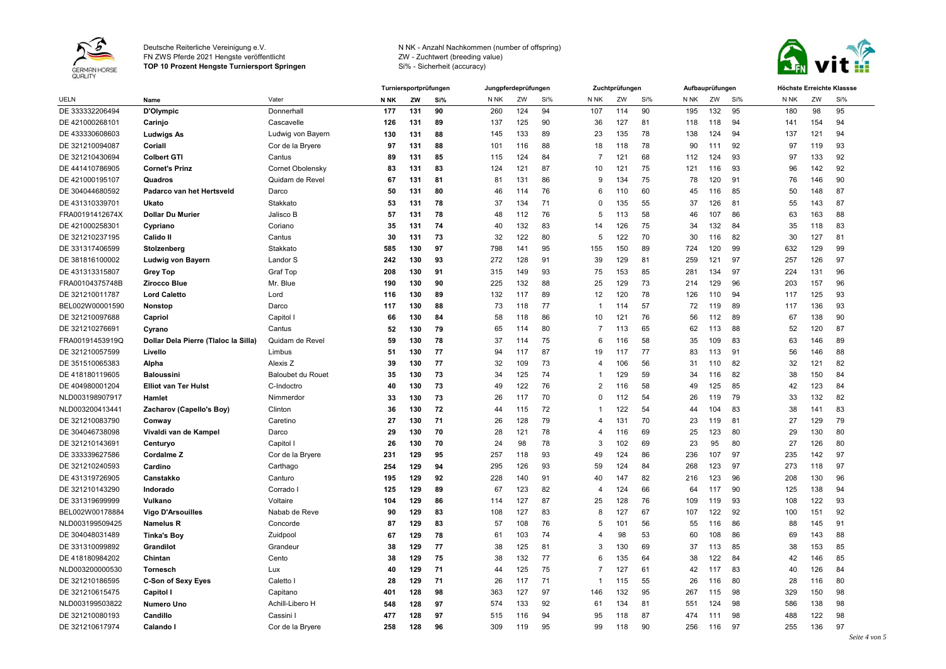

**TOP 10 Prozent Hengste Turniersport Springen**



|                 |                                      |                          |             | Turniersportprüfungen |     | Jungpferdeprüfungen |     |     |                 | Zuchtprüfungen |     |      | Aufbauprüfungen |     |                 | Höchste Erreichte Klassse |     |  |  |
|-----------------|--------------------------------------|--------------------------|-------------|-----------------------|-----|---------------------|-----|-----|-----------------|----------------|-----|------|-----------------|-----|-----------------|---------------------------|-----|--|--|
| UELN            | Name                                 | Vater                    | <b>N NK</b> | ZW                    | Si% | N NK                | ZW  | Si% | N <sub>NK</sub> | ZW             | Si% | N NK | ZW              | Si% | N <sub>NK</sub> | ZW                        | Si% |  |  |
| DE 333332206494 | D'Olympic                            | Donnerhall               | 177         | 131                   | 90  | 260                 | 124 | 94  | 107             | 114            | 90  | 195  | 132             | 95  | 180             | 98                        | 95  |  |  |
| DE 421000268101 | Carinjo                              | Cascavelle               | 126         | 131                   | 89  | 137                 | 125 | 90  | 36              | 127            | 81  | 118  | 118             | 94  | 141             | 154                       | 94  |  |  |
| DE 433330608603 | Ludwigs As                           | Ludwig von Bayern        | 130         | 131                   | 88  | 145                 | 133 | 89  | 23              | 135            | 78  | 138  | 124             | 94  | 137             | 121                       | 94  |  |  |
| DE 321210094087 | Coriall                              | Cor de la Bryere         | 97          | 131                   | 88  | 101                 | 116 | 88  | 18              | 118            | 78  | 90   | 111             | 92  | 97              | 119                       | 93  |  |  |
| DE 321210430694 | <b>Colbert GTI</b>                   | Cantus                   | 89          | 131                   | 85  | 115                 | 124 | 84  | $\overline{7}$  | 121            | 68  | 112  | 124             | 93  | 97              | 133                       | 92  |  |  |
| DE 441410786905 | <b>Cornet's Prinz</b>                | <b>Cornet Obolensky</b>  | 83          | 131                   | 83  | 124                 | 121 | 87  | 10              | 121            | 75  | 121  | 116             | 93  | 96              | 142                       | 92  |  |  |
| DE 421000195107 | Quadros                              | Quidam de Revel          | 67          | 131                   | 81  | 81                  | 131 | 86  | 9               | 134            | 75  | 78   | 120             | 91  | 76              | 146                       | 90  |  |  |
| DE 304044680592 | Padarco van het Hertsveld            | Darco                    | 50          | 131                   | 80  | 46                  | 114 | 76  | 6               | 110            | 60  | 45   | 116             | 85  | 50              | 148                       | 87  |  |  |
| DE 431310339701 | Ukato                                | Stakkato                 | 53          | 131                   | 78  | 37                  | 134 | 71  | $\Omega$        | 135            | 55  | 37   | 126             | 81  | 55              | 143                       | 87  |  |  |
| FRA00191412674X | <b>Dollar Du Murier</b>              | Jalisco B                | -57         | 131                   | 78  | 48                  | 112 | 76  | 5               | 113            | 58  | 46   | 107             | 86  | 63              | 163                       | 88  |  |  |
| DE 421000258301 | Cypriano                             | Coriano                  | 35          | 131                   | 74  | 40                  | 132 | 83  | 14              | 126            | 75  | 34   | 132             | 84  | 35              | 118                       | 83  |  |  |
| DE 321210237195 | <b>Calido II</b>                     | Cantus                   | 30          | 131                   | 73  | 32                  | 122 | 80  | 5               | 122            | 70  | 30   | 116             | 82  | 30              | 127                       | 81  |  |  |
| DE 331317406599 | Stolzenberg                          | Stakkato                 | 585         | 130                   | 97  | 798                 | 141 | 95  | 155             | 150            | 89  | 724  | 120             | 99  | 632             | 129                       | 99  |  |  |
| DE 381816100002 | Ludwig von Bayern                    | Landor S                 | 242         | 130                   | 93  | 272                 | 128 | 91  | 39              | 129            | 81  | 259  | 121             | 97  | 257             | 126                       | 97  |  |  |
| DE 431313315807 | <b>Grey Top</b>                      | <b>Graf Top</b>          | 208         | 130                   | 91  | 315                 | 149 | 93  | 75              | 153            | 85  | 281  | 134             | 97  | 224             | 131                       | 96  |  |  |
| FRA00104375748B | Zirocco Blue                         | Mr. Blue                 | 190         | 130                   | 90  | 225                 | 132 | 88  | 25              | 129            | 73  | 214  | 129             | 96  | 203             | 157                       | 96  |  |  |
| DE 321210011787 | <b>Lord Caletto</b>                  | Lord                     | 116         | 130                   | 89  | 132                 | 117 | 89  | 12              | 120            | 78  | 126  | 110             | 94  | 117             | 125                       | 93  |  |  |
| BEL002W00001590 | <b>Nonstop</b>                       | Darco                    | 117         | 130                   | 88  | 73                  | 118 | 77  | -1              | 114            | 57  | 72   | 119             | 89  | 117             | 136                       | 93  |  |  |
| DE 321210097688 | Capriol                              | Capitol                  | 66          | 130                   | 84  | 58                  | 118 | 86  | 10              | 121            | 76  | 56   | 112             | 89  | 67              | 138                       | 90  |  |  |
| DE 321210276691 | Cyrano                               | Cantus                   | 52          | 130                   | 79  | 65                  | 114 | 80  | 7               | 113            | 65  | 62   | 113             | 88  | 52              | 120                       | 87  |  |  |
| FRA00191453919Q | Dollar Dela Pierre (Tlaloc la Silla) | Quidam de Revel          | 59          | 130                   | 78  | 37                  | 114 | 75  | 6               | 116            | 58  | 35   | 109             | 83  | 63              | 146                       | 89  |  |  |
| DE 321210057599 | Livello                              | Limbus                   | 51          | 130                   | 77  | 94                  | 117 | 87  | 19              | 117            | 77  | 83   | 113             | 91  | 56              | 146                       | 88  |  |  |
| DE 351510065383 | Alpha                                | Alexis Z                 | 39          | 130                   | 77  | 32                  | 109 | 73  | 4               | 106            | 56  | 31   | 110             | 82  | 32              | 121                       | 82  |  |  |
| DE 418180119605 | <b>Baloussini</b>                    | <b>Baloubet du Rouet</b> | 35          | 130                   | 73  | 34                  | 125 | 74  | -1              | 129            | 59  | 34   | 116             | 82  | 38              | 150                       | 84  |  |  |
| DE 404980001204 | <b>Elliot van Ter Hulst</b>          | C-Indoctro               | 40          | 130                   | 73  | 49                  | 122 | 76  | $\overline{2}$  | 116            | 58  | 49   | 125             | 85  | 42              | 123                       | 84  |  |  |
| NLD003198907917 | Hamlet                               | Nimmerdor                | 33          | 130                   | 73  | 26                  | 117 | 70  | 0               | 112            | 54  | 26   | 119             | 79  | 33              | 132                       | 82  |  |  |
| NLD003200413441 | Zacharov (Capello's Boy)             | Clinton                  | 36          | 130                   | 72  | 44                  | 115 | 72  | 1               | 122            | 54  | 44   | 104             | 83  | 38              | 141                       | 83  |  |  |
| DE 321210083790 | Conway                               | Caretino                 | 27          | 130                   | 71  | 26                  | 128 | 79  | $\overline{A}$  | 131            | 70  | 23   | 119             | 81  | 27              | 129                       | 79  |  |  |
| DE 304046738098 | Vivaldi van de Kampel                | Darco                    | 29          | 130                   | 70  | 28                  | 121 | 78  | 4               | 116            | 69  | 25   | 123             | 80  | 29              | 130                       | 80  |  |  |
| DE 321210143691 | Centuryo                             | Capitol                  | 26          | 130                   | 70  | 24                  | 98  | 78  | 3               | 102            | 69  | 23   | 95              | 80  | 27              | 126                       | 80  |  |  |
| DE 333339627586 | Cordalme <sub>Z</sub>                | Cor de la Bryere         | 231         | 129                   | 95  | 257                 | 118 | 93  | 49              | 124            | 86  | 236  | 107             | 97  | 235             | 142                       | 97  |  |  |
| DE 321210240593 | Cardino                              | Carthago                 | 254         | 129                   | 94  | 295                 | 126 | 93  | 59              | 124            | 84  | 268  | 123             | 97  | 273             | 118                       | 97  |  |  |
| DE 431319726905 | Canstakko                            | Canturo                  | 195         | 129                   | 92  | 228                 | 140 | 91  | 40              | 147            | 82  | 216  | 123             | 96  | 208             | 130                       | 96  |  |  |
| DE 321210143290 | Indorado                             | Corrado I                | 125         | 129                   | 89  | 67                  | 123 | 82  | $\overline{4}$  | 124            | 66  | 64   | 117             | 90  | 125             | 138                       | 94  |  |  |
| DE 331319699999 | Vulkano                              | Voltaire                 | 104         | 129                   | 86  | 114                 | 127 | 87  | 25              | 128            | 76  | 109  | 119             | 93  | 108             | 122                       | 93  |  |  |
| BEL002W00178884 | <b>Vigo D'Arsouilles</b>             | Nabab de Reve            | 90          | 129                   | 83  | 108                 | 127 | 83  | 8               | 127            | 67  | 107  | 122             | 92  | 100             | 151                       | 92  |  |  |
| NLD003199509425 | <b>Namelus R</b>                     | Concorde                 | 87          | 129                   | 83  | 57                  | 108 | 76  | 5               | 101            | 56  | 55   | 116             | 86  | 88              | 145                       | 91  |  |  |
| DE 304048031489 | <b>Tinka's Boy</b>                   | Zuidpool                 | 67          | 129                   | 78  | 61                  | 103 | 74  | 4               | 98             | 53  | 60   | 108             | 86  | 69              | 143                       | 88  |  |  |
| DE 331310099892 | Grandilot                            | Grandeur                 | 38          | 129                   | 77  | 38                  | 125 | 81  | 3               | 130            | 69  | 37   | 113             | 85  | 38              | 153                       | 85  |  |  |
| DE 418180984202 | Chintan                              | Cento                    | 38          | 129                   | 75  | 38                  | 132 | 77  | 6               | 135            | 64  | 38   | 122             | 84  | 42              | 146                       | 85  |  |  |
| NLD003200000530 | <b>Tornesch</b>                      | Lux                      | 40          | 129                   | 71  | 44                  | 125 | 75  | 7               | 127            | 61  | 42   | 117             | 83  | 40              | 126                       | 84  |  |  |
| DE 321210186595 | <b>C-Son of Sexy Eyes</b>            | Caletto I                | 28          | 129                   | 71  | 26                  | 117 | 71  | -1              | 115            | 55  | 26   | 116             | 80  | 28              | 116                       | 80  |  |  |
| DE 321210615475 | Capitol                              | Capitano                 | 401         | 128                   | 98  | 363                 | 127 | 97  | 146             | 132            | 95  | 267  | 115             | 98  | 329             | 150                       | 98  |  |  |
| NLD003199503822 | Numero Uno                           | Achill-Libero H          | 548         | 128                   | 97  | 574                 | 133 | 92  | 61              | 134            | 81  | 551  | 124             | 98  | 586             | 138                       | 98  |  |  |
| DE 321210080193 | Candillo                             | Cassini                  | 477         | 128                   | 97  | 515                 | 116 | 94  | 95              | 118            | 87  | 474  | 111             | 98  | 488             | 122                       | 98  |  |  |
| DE 321210617974 | Calando                              | Cor de la Bryere         | 258         | 128                   | 96  | 309                 | 119 | 95  | 99              | 118            | 90  | 256  | 116             | 97  | 255             | 136                       | 97  |  |  |
|                 |                                      |                          |             |                       |     |                     |     |     |                 |                |     |      |                 |     |                 |                           |     |  |  |